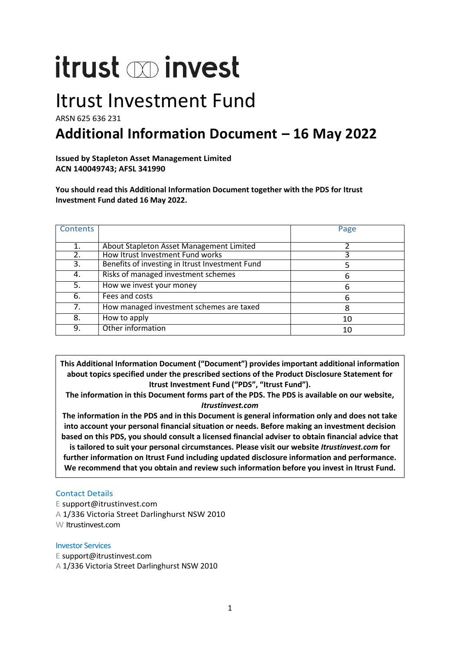# itrust minvest

## Itrust Investment Fund

ARSN 625 636 231

## **Additional Information Document – 16 May 2022**

**Issued by Stapleton Asset Management Limited ACN 140049743; AFSL 341990**

**You should read this Additional Information Document together with the PDS for Itrust Investment Fund dated 16 May 2022.**

| Contents       |                                                 | Page |
|----------------|-------------------------------------------------|------|
|                |                                                 |      |
| $\mathbf{1}$ . | About Stapleton Asset Management Limited        |      |
| 2.             | How Itrust Investment Fund works                |      |
| 3.             | Benefits of investing in Itrust Investment Fund |      |
| 4.             | Risks of managed investment schemes             | 6    |
| 5.             | How we invest your money                        | 6    |
| 6.             | Fees and costs                                  | 6    |
| 7.             | How managed investment schemes are taxed        | 8    |
| 8.             | How to apply                                    | 10   |
| 9.             | Other information                               | 10   |

**This Additional Information Document ("Document") provides important additional information about topics specified under the prescribed sections of the Product Disclosure Statement for Itrust Investment Fund ("PDS", "Itrust Fund").**

**The information in this Document forms part of the PDS. The PDS is available on our website,** *Itrustinvest.com*

**The information in the PDS and in this Document is general information only and does not take into account your personal financial situation or needs. Before making an investment decision based on this PDS, you should consult a licensed financial adviser to obtain financial advice that is tailored to suit your personal circumstances. Please visit our website** *Itrustinvest.com* **for further information on Itrust Fund including updated disclosure information and performance. We recommend that you obtain and review such information before you invest in Itrust Fund.**

#### Contact Details

E support@itrustinvest.com A 1/336 Victoria Street Darlinghurst NSW 2010 W Itrustinvest.com

#### Investor Services

E support@itrustinvest.com

A 1/336 Victoria Street Darlinghurst NSW 2010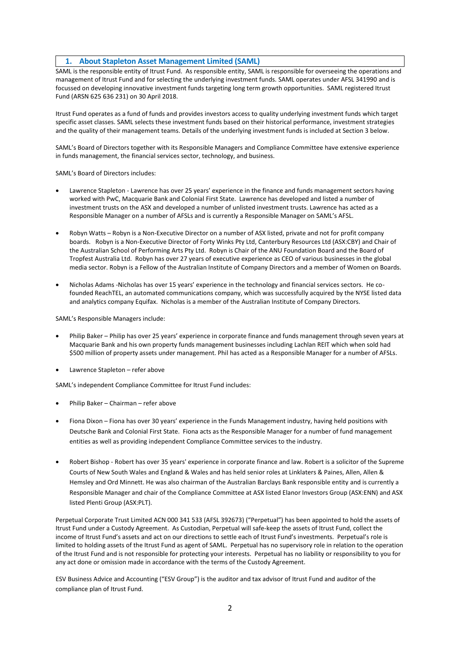#### **1. About Stapleton Asset Management Limited (SAML)**

SAML is the responsible entity of Itrust Fund. As responsible entity, SAML is responsible for overseeing the operations and management of Itrust Fund and for selecting the underlying investment funds. SAML operates under AFSL 341990 and is focussed on developing innovative investment funds targeting long term growth opportunities. SAML registered Itrust Fund (ARSN 625 636 231) on 30 April 2018.

Itrust Fund operates as a fund of funds and provides investors access to quality underlying investment funds which target specific asset classes. SAML selects these investment funds based on their historical performance, investment strategies and the quality of their management teams. Details of the underlying investment funds is included at Section 3 below.

SAML's Board of Directors together with its Responsible Managers and Compliance Committee have extensive experience in funds management, the financial services sector, technology, and business.

SAML's Board of Directors includes:

- Lawrence Stapleton Lawrence has over 25 years' experience in the finance and funds management sectors having worked with PwC, Macquarie Bank and Colonial First State. Lawrence has developed and listed a number of investment trusts on the ASX and developed a number of unlisted investment trusts. Lawrence has acted as a Responsible Manager on a number of AFSLs and is currently a Responsible Manager on SAML's AFSL.
- Robyn Watts Robyn is a Non-Executive Director on a number of ASX listed, private and not for profit company boards. Robyn is a Non-Executive Director of Forty Winks Pty Ltd, Canterbury Resources Ltd (ASX:CBY) and Chair of the Australian School of Performing Arts Pty Ltd. Robyn is Chair of the ANU Foundation Board and the Board of Tropfest Australia Ltd. Robyn has over 27 years of executive experience as CEO of various businesses in the global media sector. Robyn is a Fellow of the Australian Institute of Company Directors and a member of Women on Boards.
- Nicholas Adams -Nicholas has over 15 years' experience in the technology and financial services sectors. He cofounded ReachTEL, an automated communications company, which was successfully acquired by the NYSE listed data and analytics company Equifax. Nicholas is a member of the Australian Institute of Company Directors.

SAML's Responsible Managers include:

- Philip Baker Philip has over 25 years' experience in corporate finance and funds management through seven years at Macquarie Bank and his own property funds management businesses including Lachlan REIT which when sold had \$500 million of property assets under management. Phil has acted as a Responsible Manager for a number of AFSLs.
- Lawrence Stapleton refer above

SAML's independent Compliance Committee for Itrust Fund includes:

- Philip Baker Chairman refer above
- Fiona Dixon Fiona has over 30 years' experience in the Funds Management industry, having held positions with Deutsche Bank and Colonial First State. Fiona acts as the Responsible Manager for a number of fund management entities as well as providing independent Compliance Committee services to the industry.
- Robert Bishop Robert has over 35 years' experience in corporate finance and law. Robert is a solicitor of the Supreme Courts of New South Wales and England & Wales and has held senior roles at Linklaters & Paines, Allen, Allen & Hemsley and Ord Minnett. He was also chairman of the Australian Barclays Bank responsible entity and is currently a Responsible Manager and chair of the Compliance Committee at ASX listed Elanor Investors Group (ASX:ENN) and ASX listed Plenti Group (ASX:PLT).

Perpetual Corporate Trust Limited ACN 000 341 533 (AFSL 392673) ("Perpetual") has been appointed to hold the assets of Itrust Fund under a Custody Agreement. As Custodian, Perpetual will safe-keep the assets of Itrust Fund, collect the income of Itrust Fund's assets and act on our directions to settle each of Itrust Fund's investments. Perpetual's role is limited to holding assets of the Itrust Fund as agent of SAML. Perpetual has no supervisory role in relation to the operation of the Itrust Fund and is not responsible for protecting your interests. Perpetual has no liability or responsibility to you for any act done or omission made in accordance with the terms of the Custody Agreement.

ESV Business Advice and Accounting ("ESV Group") is the auditor and tax advisor of Itrust Fund and auditor of the compliance plan of Itrust Fund.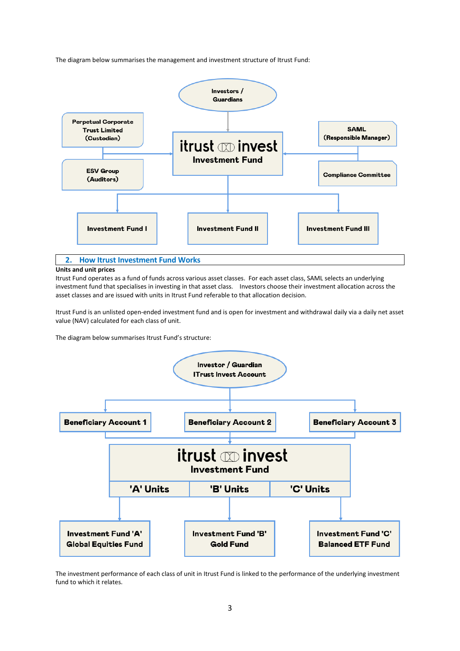The diagram below summarises the management and investment structure of Itrust Fund:



#### **2. How Itrust Investment Fund Works**

#### **Units and unit prices**

Itrust Fund operates as a fund of funds across various asset classes. For each asset class, SAML selects an underlying investment fund that specialises in investing in that asset class. Investors choose their investment allocation across the asset classes and are issued with units in Itrust Fund referable to that allocation decision.

Itrust Fund is an unlisted open-ended investment fund and is open for investment and withdrawal daily via a daily net asset value (NAV) calculated for each class of unit.

The diagram below summarises Itrust Fund's structure:



The investment performance of each class of unit in Itrust Fund is linked to the performance of the underlying investment fund to which it relates.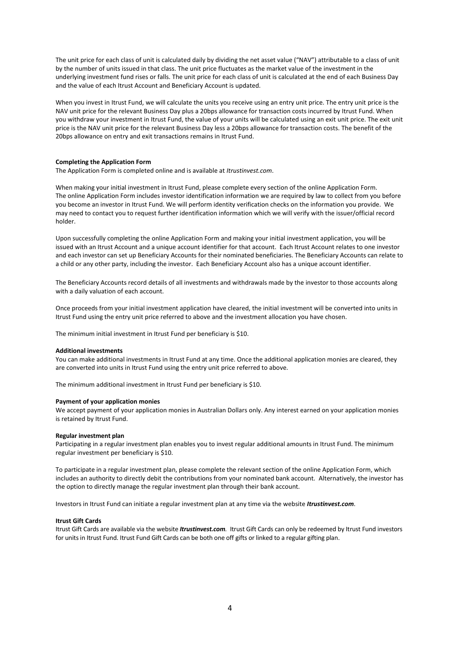The unit price for each class of unit is calculated daily by dividing the net asset value ("NAV") attributable to a class of unit by the number of units issued in that class. The unit price fluctuates as the market value of the investment in the underlying investment fund rises or falls. The unit price for each class of unit is calculated at the end of each Business Day and the value of each Itrust Account and Beneficiary Account is updated.

When you invest in Itrust Fund, we will calculate the units you receive using an entry unit price. The entry unit price is the NAV unit price for the relevant Business Day plus a 20bps allowance for transaction costs incurred by Itrust Fund. When you withdraw your investment in Itrust Fund, the value of your units will be calculated using an exit unit price. The exit unit price is the NAV unit price for the relevant Business Day less a 20bps allowance for transaction costs. The benefit of the 20bps allowance on entry and exit transactions remains in Itrust Fund.

#### **Completing the Application Form**

The Application Form is completed online and is available at *Itrustinvest.com*.

When making your initial investment in Itrust Fund, please complete every section of the online Application Form. The online Application Form includes investor identification information we are required by law to collect from you before you become an investor in Itrust Fund. We will perform identity verification checks on the information you provide. We may need to contact you to request further identification information which we will verify with the issuer/official record holder.

Upon successfully completing the online Application Form and making your initial investment application, you will be issued with an Itrust Account and a unique account identifier for that account. Each Itrust Account relates to one investor and each investor can set up Beneficiary Accounts for their nominated beneficiaries. The Beneficiary Accounts can relate to a child or any other party, including the investor. Each Beneficiary Account also has a unique account identifier.

The Beneficiary Accounts record details of all investments and withdrawals made by the investor to those accounts along with a daily valuation of each account.

Once proceeds from your initial investment application have cleared, the initial investment will be converted into units in Itrust Fund using the entry unit price referred to above and the investment allocation you have chosen.

The minimum initial investment in Itrust Fund per beneficiary is \$10.

#### **Additional investments**

You can make additional investments in Itrust Fund at any time. Once the additional application monies are cleared, they are converted into units in Itrust Fund using the entry unit price referred to above.

The minimum additional investment in Itrust Fund per beneficiary is \$10.

#### **Payment of your application monies**

We accept payment of your application monies in Australian Dollars only. Any interest earned on your application monies is retained by Itrust Fund.

#### **Regular investment plan**

Participating in a regular investment plan enables you to invest regular additional amounts in Itrust Fund. The minimum regular investment per beneficiary is \$10.

To participate in a regular investment plan, please complete the relevant section of the online Application Form, which includes an authority to directly debit the contributions from your nominated bank account. Alternatively, the investor has the option to directly manage the regular investment plan through their bank account.

Investors in Itrust Fund can initiate a regular investment plan at any time via the website *Itrustinvest.com*.

#### **Itrust Gift Cards**

Itrust Gift Cards are available via the website *Itrustinvest.com.* Itrust Gift Cards can only be redeemed by Itrust Fund investors for units in Itrust Fund. Itrust Fund Gift Cards can be both one off gifts or linked to a regular gifting plan.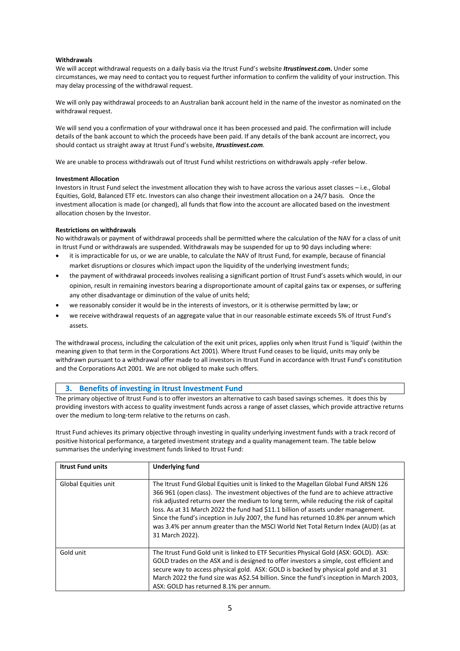#### **Withdrawals**

We will accept withdrawal requests on a daily basis via the Itrust Fund's website *Itrustinvest.com***.** Under some circumstances, we may need to contact you to request further information to confirm the validity of your instruction. This may delay processing of the withdrawal request.

We will only pay withdrawal proceeds to an Australian bank account held in the name of the investor as nominated on the withdrawal request.

We will send you a confirmation of your withdrawal once it has been processed and paid. The confirmation will include details of the bank account to which the proceeds have been paid. If any details of the bank account are incorrect, you should contact us straight away at Itrust Fund's website, *Itrustinvest.com*.

We are unable to process withdrawals out of Itrust Fund whilst restrictions on withdrawals apply -refer below.

#### **Investment Allocation**

Investors in Itrust Fund select the investment allocation they wish to have across the various asset classes – i.e., Global Equities, Gold, Balanced ETF etc. Investors can also change their investment allocation on a 24/7 basis. Once the investment allocation is made (or changed), all funds that flow into the account are allocated based on the investment allocation chosen by the Investor.

#### **Restrictions on withdrawals**

No withdrawals or payment of withdrawal proceeds shall be permitted where the calculation of the NAV for a class of unit in Itrust Fund or withdrawals are suspended. Withdrawals may be suspended for up to 90 days including where:

- it is impracticable for us, or we are unable, to calculate the NAV of Itrust Fund, for example, because of financial market disruptions or closures which impact upon the liquidity of the underlying investment funds;
- the payment of withdrawal proceeds involves realising a significant portion of Itrust Fund's assets which would, in our opinion, result in remaining investors bearing a disproportionate amount of capital gains tax or expenses, or suffering any other disadvantage or diminution of the value of units held;
- we reasonably consider it would be in the interests of investors, or it is otherwise permitted by law; or
- we receive withdrawal requests of an aggregate value that in our reasonable estimate exceeds 5% of Itrust Fund's assets.

The withdrawal process, including the calculation of the exit unit prices, applies only when Itrust Fund is 'liquid' (within the meaning given to that term in the Corporations Act 2001). Where Itrust Fund ceases to be liquid, units may only be withdrawn pursuant to a withdrawal offer made to all investors in Itrust Fund in accordance with Itrust Fund's constitution and the Corporations Act 2001. We are not obliged to make such offers.

#### **3. Benefits of investing in Itrust Investment Fund**

The primary objective of Itrust Fund is to offer investors an alternative to cash based savings schemes. It does this by providing investors with access to quality investment funds across a range of asset classes, which provide attractive returns over the medium to long-term relative to the returns on cash.

Itrust Fund achieves its primary objective through investing in quality underlying investment funds with a track record of positive historical performance, a targeted investment strategy and a quality management team. The table below summarises the underlying investment funds linked to Itrust Fund:

| <b>Itrust Fund units</b> | <b>Underlying fund</b>                                                                                                                                                                                                                                                                                                                                                                                                                                                                                                                                       |
|--------------------------|--------------------------------------------------------------------------------------------------------------------------------------------------------------------------------------------------------------------------------------------------------------------------------------------------------------------------------------------------------------------------------------------------------------------------------------------------------------------------------------------------------------------------------------------------------------|
| Global Equities unit     | The Itrust Fund Global Equities unit is linked to the Magellan Global Fund ARSN 126<br>366 961 (open class). The investment objectives of the fund are to achieve attractive<br>risk adjusted returns over the medium to long term, while reducing the risk of capital<br>loss. As at 31 March 2022 the fund had \$11.1 billion of assets under management.<br>Since the fund's inception in July 2007, the fund has returned 10.8% per annum which<br>was 3.4% per annum greater than the MSCI World Net Total Return Index (AUD) (as at<br>31 March 2022). |
| Gold unit                | The Itrust Fund Gold unit is linked to ETF Securities Physical Gold (ASX: GOLD). ASX:<br>GOLD trades on the ASX and is designed to offer investors a simple, cost efficient and<br>secure way to access physical gold. ASX: GOLD is backed by physical gold and at 31<br>March 2022 the fund size was A\$2.54 billion. Since the fund's inception in March 2003,<br>ASX: GOLD has returned 8.1% per annum.                                                                                                                                                   |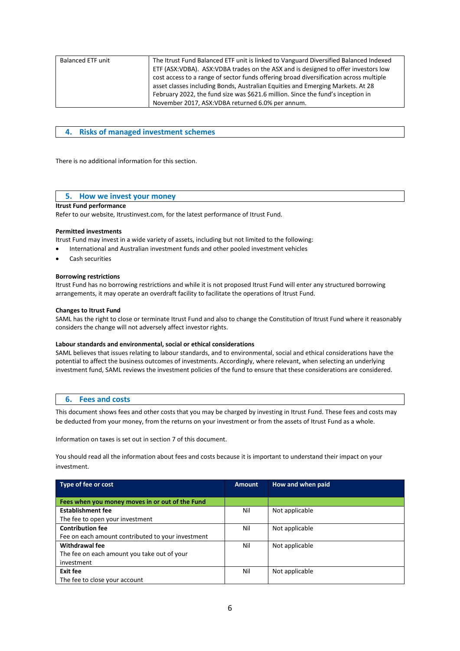| <b>Balanced ETF unit</b> | The Itrust Fund Balanced ETF unit is linked to Vanguard Diversified Balanced Indexed<br>ETF (ASX:VDBA). ASX:VDBA trades on the ASX and is designed to offer investors low<br>cost access to a range of sector funds offering broad diversification across multiple<br>asset classes including Bonds, Australian Equities and Emerging Markets. At 28 |
|--------------------------|------------------------------------------------------------------------------------------------------------------------------------------------------------------------------------------------------------------------------------------------------------------------------------------------------------------------------------------------------|
|                          | February 2022, the fund size was \$621.6 million. Since the fund's inception in                                                                                                                                                                                                                                                                      |
|                          | November 2017, ASX: VDBA returned 6.0% per annum.                                                                                                                                                                                                                                                                                                    |

#### **4. Risks of managed investment schemes**

There is no additional information for this section.

#### **5. How we invest your money**

#### **Itrust Fund performance**

Refer to our website, Itrustinvest.com, for the latest performance of Itrust Fund.

#### **Permitted investments**

- Itrust Fund may invest in a wide variety of assets, including but not limited to the following:
- International and Australian investment funds and other pooled investment vehicles
- Cash securities

#### **Borrowing restrictions**

Itrust Fund has no borrowing restrictions and while it is not proposed Itrust Fund will enter any structured borrowing arrangements, it may operate an overdraft facility to facilitate the operations of Itrust Fund.

#### **Changes to Itrust Fund**

SAML has the right to close or terminate Itrust Fund and also to change the Constitution of Itrust Fund where it reasonably considers the change will not adversely affect investor rights.

#### **Labour standards and environmental, social or ethical considerations**

SAML believes that issues relating to labour standards, and to environmental, social and ethical considerations have the potential to affect the business outcomes of investments. Accordingly, where relevant, when selecting an underlying investment fund, SAML reviews the investment policies of the fund to ensure that these considerations are considered.

#### **6. Fees and costs**

This document shows fees and other costs that you may be charged by investing in Itrust Fund. These fees and costs may be deducted from your money, from the returns on your investment or from the assets of Itrust Fund as a whole.

Information on taxes is set out in section 7 of this document.

You should read all the information about fees and costs because it is important to understand their impact on your investment.

| Type of fee or cost                               | <b>Amount</b> | How and when paid |
|---------------------------------------------------|---------------|-------------------|
|                                                   |               |                   |
| Fees when you money moves in or out of the Fund   |               |                   |
| <b>Establishment fee</b>                          | Nil           | Not applicable    |
| The fee to open your investment                   |               |                   |
| <b>Contribution fee</b>                           | Nil           | Not applicable    |
| Fee on each amount contributed to your investment |               |                   |
| <b>Withdrawal fee</b>                             | Nil           | Not applicable    |
| The fee on each amount you take out of your       |               |                   |
| investment                                        |               |                   |
| Exit fee                                          | Nil           | Not applicable    |
| The fee to close your account                     |               |                   |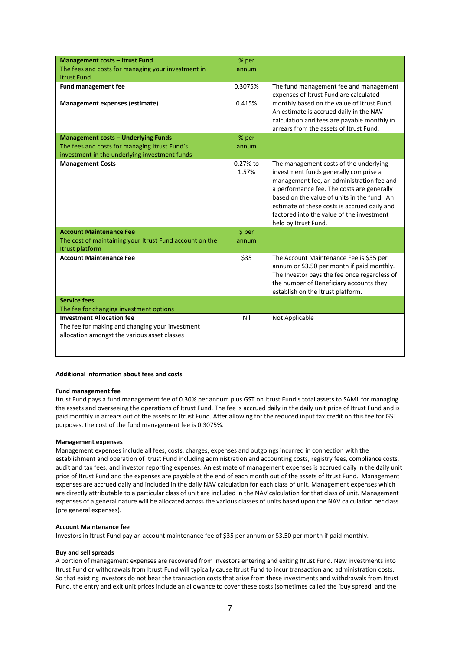| <b>Management costs - Itrust Fund</b>                   | % per    |                                                                                           |
|---------------------------------------------------------|----------|-------------------------------------------------------------------------------------------|
| The fees and costs for managing your investment in      | annum    |                                                                                           |
| <b>Itrust Fund</b>                                      |          |                                                                                           |
| <b>Fund management fee</b>                              | 0.3075%  | The fund management fee and management                                                    |
|                                                         |          | expenses of Itrust Fund are calculated                                                    |
| Management expenses (estimate)                          | 0.415%   | monthly based on the value of Itrust Fund.                                                |
|                                                         |          | An estimate is accrued daily in the NAV                                                   |
|                                                         |          | calculation and fees are payable monthly in                                               |
|                                                         |          | arrears from the assets of Itrust Fund.                                                   |
| <b>Management costs - Underlying Funds</b>              | % per    |                                                                                           |
| The fees and costs for managing Itrust Fund's           | annum    |                                                                                           |
| investment in the underlying investment funds           |          |                                                                                           |
| <b>Management Costs</b>                                 | 0.27% to | The management costs of the underlying                                                    |
|                                                         | 1.57%    | investment funds generally comprise a                                                     |
|                                                         |          | management fee, an administration fee and                                                 |
|                                                         |          | a performance fee. The costs are generally<br>based on the value of units in the fund. An |
|                                                         |          | estimate of these costs is accrued daily and                                              |
|                                                         |          | factored into the value of the investment                                                 |
|                                                         |          | held by Itrust Fund.                                                                      |
| <b>Account Maintenance Fee</b>                          | \$ per   |                                                                                           |
| The cost of maintaining your Itrust Fund account on the | annum    |                                                                                           |
| Itrust platform                                         |          |                                                                                           |
| <b>Account Maintenance Fee</b>                          | \$35     | The Account Maintenance Fee is \$35 per                                                   |
|                                                         |          | annum or \$3.50 per month if paid monthly.                                                |
|                                                         |          | The Investor pays the fee once regardless of                                              |
|                                                         |          | the number of Beneficiary accounts they                                                   |
|                                                         |          | establish on the Itrust platform.                                                         |
| <b>Service fees</b>                                     |          |                                                                                           |
| The fee for changing investment options                 |          |                                                                                           |
| <b>Investment Allocation fee</b>                        | Nil      | Not Applicable                                                                            |
| The fee for making and changing your investment         |          |                                                                                           |
| allocation amongst the various asset classes            |          |                                                                                           |
|                                                         |          |                                                                                           |
|                                                         |          |                                                                                           |

#### **Additional information about fees and costs**

#### **Fund management fee**

Itrust Fund pays a fund management fee of 0.30% per annum plus GST on Itrust Fund's total assets to SAML for managing the assets and overseeing the operations of Itrust Fund. The fee is accrued daily in the daily unit price of Itrust Fund and is paid monthly in arrears out of the assets of Itrust Fund. After allowing for the reduced input tax credit on this fee for GST purposes, the cost of the fund management fee is 0.3075%.

#### **Management expenses**

Management expenses include all fees, costs, charges, expenses and outgoings incurred in connection with the establishment and operation of Itrust Fund including administration and accounting costs, registry fees, compliance costs, audit and tax fees, and investor reporting expenses. An estimate of management expenses is accrued daily in the daily unit price of Itrust Fund and the expenses are payable at the end of each month out of the assets of Itrust Fund. Management expenses are accrued daily and included in the daily NAV calculation for each class of unit. Management expenses which are directly attributable to a particular class of unit are included in the NAV calculation for that class of unit. Management expenses of a general nature will be allocated across the various classes of units based upon the NAV calculation per class (pre general expenses).

#### **Account Maintenance fee**

Investors in Itrust Fund pay an account maintenance fee of \$35 per annum or \$3.50 per month if paid monthly.

#### **Buy and sell spreads**

A portion of management expenses are recovered from investors entering and exiting Itrust Fund. New investments into Itrust Fund or withdrawals from Itrust Fund will typically cause Itrust Fund to incur transaction and administration costs. So that existing investors do not bear the transaction costs that arise from these investments and withdrawals from Itrust Fund, the entry and exit unit prices include an allowance to cover these costs (sometimes called the 'buy spread' and the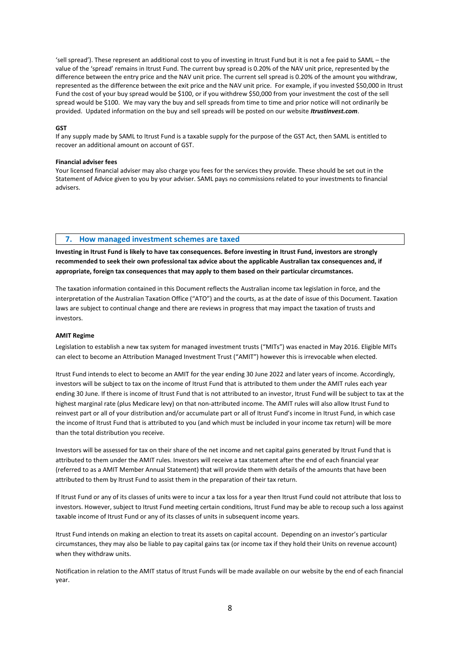'sell spread'). These represent an additional cost to you of investing in Itrust Fund but it is not a fee paid to SAML – the value of the 'spread' remains in Itrust Fund. The current buy spread is 0.20% of the NAV unit price, represented by the difference between the entry price and the NAV unit price. The current sell spread is 0.20% of the amount you withdraw, represented as the difference between the exit price and the NAV unit price. For example, if you invested \$50,000 in Itrust Fund the cost of your buy spread would be \$100, or if you withdrew \$50,000 from your investment the cost of the sell spread would be \$100. We may vary the buy and sell spreads from time to time and prior notice will not ordinarily be provided. Updated information on the buy and sell spreads will be posted on our website *Itrustinvest.com*.

#### **GST**

If any supply made by SAML to Itrust Fund is a taxable supply for the purpose of the GST Act, then SAML is entitled to recover an additional amount on account of GST.

#### **Financial adviser fees**

Your licensed financial adviser may also charge you fees for the services they provide. These should be set out in the Statement of Advice given to you by your adviser. SAML pays no commissions related to your investments to financial advisers.

#### **7. How managed investment schemes are taxed**

**Investing in Itrust Fund is likely to have tax consequences. Before investing in Itrust Fund, investors are strongly recommended to seek their own professional tax advice about the applicable Australian tax consequences and, if appropriate, foreign tax consequences that may apply to them based on their particular circumstances.**

The taxation information contained in this Document reflects the Australian income tax legislation in force, and the interpretation of the Australian Taxation Office ("ATO") and the courts, as at the date of issue of this Document. Taxation laws are subject to continual change and there are reviews in progress that may impact the taxation of trusts and investors.

#### **AMIT Regime**

Legislation to establish a new tax system for managed investment trusts ("MITs") was enacted in May 2016. Eligible MITs can elect to become an Attribution Managed Investment Trust ("AMIT") however this is irrevocable when elected.

Itrust Fund intends to elect to become an AMIT for the year ending 30 June 2022 and later years of income. Accordingly, investors will be subject to tax on the income of Itrust Fund that is attributed to them under the AMIT rules each year ending 30 June. If there is income of Itrust Fund that is not attributed to an investor, Itrust Fund will be subject to tax at the highest marginal rate (plus Medicare levy) on that non-attributed income. The AMIT rules will also allow Itrust Fund to reinvest part or all of your distribution and/or accumulate part or all of Itrust Fund's income in Itrust Fund, in which case the income of Itrust Fund that is attributed to you (and which must be included in your income tax return) will be more than the total distribution you receive.

Investors will be assessed for tax on their share of the net income and net capital gains generated by Itrust Fund that is attributed to them under the AMIT rules. Investors will receive a tax statement after the end of each financial year (referred to as a AMIT Member Annual Statement) that will provide them with details of the amounts that have been attributed to them by Itrust Fund to assist them in the preparation of their tax return.

If Itrust Fund or any of its classes of units were to incur a tax loss for a year then Itrust Fund could not attribute that loss to investors. However, subject to Itrust Fund meeting certain conditions, Itrust Fund may be able to recoup such a loss against taxable income of Itrust Fund or any of its classes of units in subsequent income years.

Itrust Fund intends on making an election to treat its assets on capital account. Depending on an investor's particular circumstances, they may also be liable to pay capital gains tax (or income tax if they hold their Units on revenue account) when they withdraw units.

Notification in relation to the AMIT status of Itrust Funds will be made available on our website by the end of each financial year.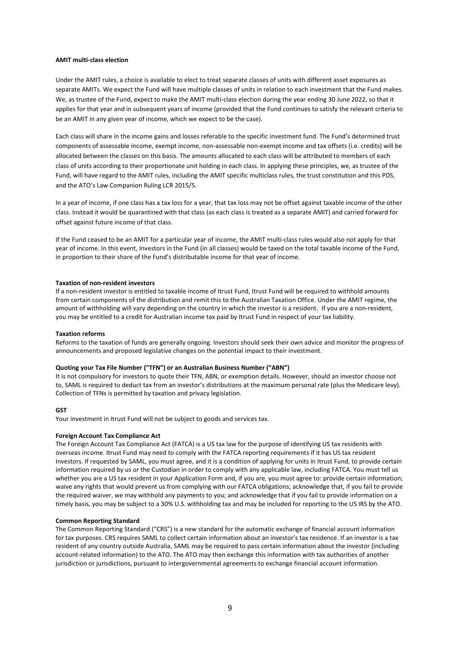#### **AMIT multi-class election**

Under the AMIT rules, a choice is available to elect to treat separate classes of units with different asset exposures as separate AMITs. We expect the Fund will have multiple classes of units in relation to each investment that the Fund makes. We, as trustee of the Fund, expect to make the AMIT multi-class election during the year ending 30 June 2022, so that it applies for that year and in subsequent years of income (provided that the Fund continues to satisfy the relevant criteria to be an AMIT in any given year of income, which we expect to be the case).

Each class will share in the income gains and losses referable to the specific investment fund. The Fund's determined trust components of assessable income, exempt income, non-assessable non-exempt income and tax offsets (i.e. credits) will be allocated between the classes on this basis. The amounts allocated to each class will be attributed to members of each class of units according to their proportionate unit holding in each class. In applying these principles, we, as trustee of the Fund, will have regard to the AMIT rules, including the AMIT specific multiclass rules, the trust constitution and this PDS, and the ATO's Law Companion Ruling LCR 2015/5.

In a year of income, if one class has a tax loss for a year, that tax loss may not be offset against taxable income of the other class. Instead it would be quarantined with that class (as each class is treated as a separate AMIT) and carried forward for offset against future income of that class.

If the Fund ceased to be an AMIT for a particular year of income, the AMIT multi-class rules would also not apply for that year of income. In this event, Investors in the Fund (in all classes) would be taxed on the total taxable income of the Fund, in proportion to their share of the Fund's distributable income for that year of income.

#### **Taxation of non-resident investors**

If a non-resident investor is entitled to taxable income of Itrust Fund, Itrust Fund will be required to withhold amounts from certain components of the distribution and remit this to the Australian Taxation Office. Under the AMIT regime, the amount of withholding will vary depending on the country in which the investor is a resident. If you are a non-resident, you may be entitled to a credit for Australian income tax paid by Itrust Fund in respect of your tax liability.

#### **Taxation reforms**

Reforms to the taxation of funds are generally ongoing. Investors should seek their own advice and monitor the progress of announcements and proposed legislative changes on the potential impact to their investment.

#### **Quoting your Tax File Number ("TFN") or an Australian Business Number ("ABN")**

It is not compulsory for investors to quote their TFN, ABN, or exemption details. However, should an investor choose not to, SAML is required to deduct tax from an investor's distributions at the maximum personal rate (plus the Medicare levy). Collection of TFNs is permitted by taxation and privacy legislation.

#### **GST**

Your investment in Itrust Fund will not be subject to goods and services tax.

#### **Foreign Account Tax Compliance Act**

The Foreign Account Tax Compliance Act (FATCA) is a US tax law for the purpose of identifying US tax residents with overseas income. Itrust Fund may need to comply with the FATCA reporting requirements if it has US tax resident Investors. If requested by SAML, you must agree, and it is a condition of applying for units in Itrust Fund, to provide certain information required by us or the Custodian in order to comply with any applicable law, including FATCA. You must tell us whether you are a US tax resident in your Application Form and, if you are, you must agree to: provide certain information; waive any rights that would prevent us from complying with our FATCA obligations; acknowledge that, if you fail to provide the required waiver, we may withhold any payments to you; and acknowledge that if you fail to provide information on a timely basis, you may be subject to a 30% U.S. withholding tax and may be included for reporting to the US IRS by the ATO.

#### **Common Reporting Standard**

The Common Reporting Standard ("CRS") is a new standard for the automatic exchange of financial account information for tax purposes. CRS requires SAML to collect certain information about an investor's tax residence. If an investor is a tax resident of any country outside Australia, SAML may be required to pass certain information about the investor (including account-related information) to the ATO. The ATO may then exchange this information with tax authorities of another jurisdiction or jurisdictions, pursuant to intergovernmental agreements to exchange financial account information.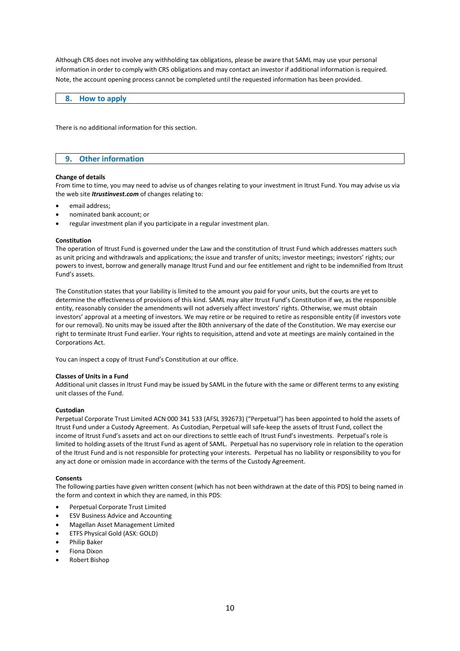Although CRS does not involve any withholding tax obligations, please be aware that SAML may use your personal information in order to comply with CRS obligations and may contact an investor if additional information is required. Note, the account opening process cannot be completed until the requested information has been provided.

#### **8. How to apply**

There is no additional information for this section.

#### **9. Other information**

#### **Change of details**

From time to time, you may need to advise us of changes relating to your investment in Itrust Fund. You may advise us via the web site *Itrustinvest.com* of changes relating to:

- email address;
- nominated bank account; or
- regular investment plan if you participate in a regular investment plan.

#### **Constitution**

The operation of Itrust Fund is governed under the Law and the constitution of Itrust Fund which addresses matters such as unit pricing and withdrawals and applications; the issue and transfer of units; investor meetings; investors' rights; our powers to invest, borrow and generally manage Itrust Fund and our fee entitlement and right to be indemnified from Itrust Fund's assets.

The Constitution states that your liability is limited to the amount you paid for your units, but the courts are yet to determine the effectiveness of provisions of this kind. SAML may alter Itrust Fund's Constitution if we, as the responsible entity, reasonably consider the amendments will not adversely affect investors' rights. Otherwise, we must obtain investors' approval at a meeting of investors. We may retire or be required to retire as responsible entity (if investors vote for our removal). No units may be issued after the 80th anniversary of the date of the Constitution. We may exercise our right to terminate Itrust Fund earlier. Your rights to requisition, attend and vote at meetings are mainly contained in the Corporations Act.

You can inspect a copy of Itrust Fund's Constitution at our office.

#### **Classes of Units in a Fund**

Additional unit classes in Itrust Fund may be issued by SAML in the future with the same or different terms to any existing unit classes of the Fund.

#### **Custodian**

Perpetual Corporate Trust Limited ACN 000 341 533 (AFSL 392673) ("Perpetual") has been appointed to hold the assets of Itrust Fund under a Custody Agreement. As Custodian, Perpetual will safe-keep the assets of Itrust Fund, collect the income of Itrust Fund's assets and act on our directions to settle each of Itrust Fund's investments. Perpetual's role is limited to holding assets of the Itrust Fund as agent of SAML. Perpetual has no supervisory role in relation to the operation of the Itrust Fund and is not responsible for protecting your interests. Perpetual has no liability or responsibility to you for any act done or omission made in accordance with the terms of the Custody Agreement.

#### **Consents**

The following parties have given written consent (which has not been withdrawn at the date of this PDS) to being named in the form and context in which they are named, in this PDS:

- Perpetual Corporate Trust Limited
- **ESV Business Advice and Accounting**
- Magellan Asset Management Limited
- ETFS Physical Gold (ASX: GOLD)
- Philip Baker
- Fiona Dixon
- Robert Bishop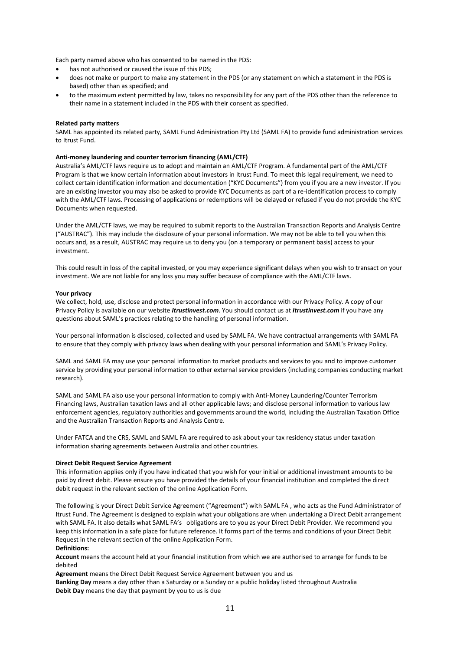Each party named above who has consented to be named in the PDS:

- has not authorised or caused the issue of this PDS;
- does not make or purport to make any statement in the PDS (or any statement on which a statement in the PDS is based) other than as specified; and
- to the maximum extent permitted by law, takes no responsibility for any part of the PDS other than the reference to their name in a statement included in the PDS with their consent as specified.

#### **Related party matters**

SAML has appointed its related party, SAML Fund Administration Pty Ltd (SAML FA) to provide fund administration services to Itrust Fund.

#### **Anti-money laundering and counter terrorism financing (AML/CTF)**

Australia's AML/CTF laws require us to adopt and maintain an AML/CTF Program. A fundamental part of the AML/CTF Program is that we know certain information about investors in Itrust Fund. To meet this legal requirement, we need to collect certain identification information and documentation ("KYC Documents") from you if you are a new investor. If you are an existing investor you may also be asked to provide KYC Documents as part of a re-identification process to comply with the AML/CTF laws. Processing of applications or redemptions will be delayed or refused if you do not provide the KYC Documents when requested.

Under the AML/CTF laws, we may be required to submit reports to the Australian Transaction Reports and Analysis Centre ("AUSTRAC"). This may include the disclosure of your personal information. We may not be able to tell you when this occurs and, as a result, AUSTRAC may require us to deny you (on a temporary or permanent basis) access to your investment.

This could result in loss of the capital invested, or you may experience significant delays when you wish to transact on your investment. We are not liable for any loss you may suffer because of compliance with the AML/CTF laws.

#### **Your privacy**

We collect, hold, use, disclose and protect personal information in accordance with our Privacy Policy. A copy of our Privacy Policy is available on our website *Itrustinvest.com*. You should contact us at *Itrustinvest.com* if you have any questions about SAML's practices relating to the handling of personal information.

Your personal information is disclosed, collected and used by SAML FA. We have contractual arrangements with SAML FA to ensure that they comply with privacy laws when dealing with your personal information and SAML's Privacy Policy.

SAML and SAML FA may use your personal information to market products and services to you and to improve customer service by providing your personal information to other external service providers (including companies conducting market research).

SAML and SAML FA also use your personal information to comply with Anti-Money Laundering/Counter Terrorism Financing laws, Australian taxation laws and all other applicable laws; and disclose personal information to various law enforcement agencies, regulatory authorities and governments around the world, including the Australian Taxation Office and the Australian Transaction Reports and Analysis Centre.

Under FATCA and the CRS, SAML and SAML FA are required to ask about your tax residency status under taxation information sharing agreements between Australia and other countries.

#### **Direct Debit Request Service Agreement**

This information applies only if you have indicated that you wish for your initial or additional investment amounts to be paid by direct debit. Please ensure you have provided the details of your financial institution and completed the direct debit request in the relevant section of the online Application Form.

The following is your Direct Debit Service Agreement ("Agreement") with SAML FA , who acts as the Fund Administrator of Itrust Fund. The Agreement is designed to explain what your obligations are when undertaking a Direct Debit arrangement with SAML FA. It also details what SAML FA's obligations are to you as your Direct Debit Provider. We recommend you keep this information in a safe place for future reference. It forms part of the terms and conditions of your Direct Debit Request in the relevant section of the online Application Form.

#### **Definitions:**

**Account** means the account held at your financial institution from which we are authorised to arrange for funds to be debited

**Agreement** means the Direct Debit Request Service Agreement between you and us **Banking Day** means a day other than a Saturday or a Sunday or a public holiday listed throughout Australia **Debit Day** means the day that payment by you to us is due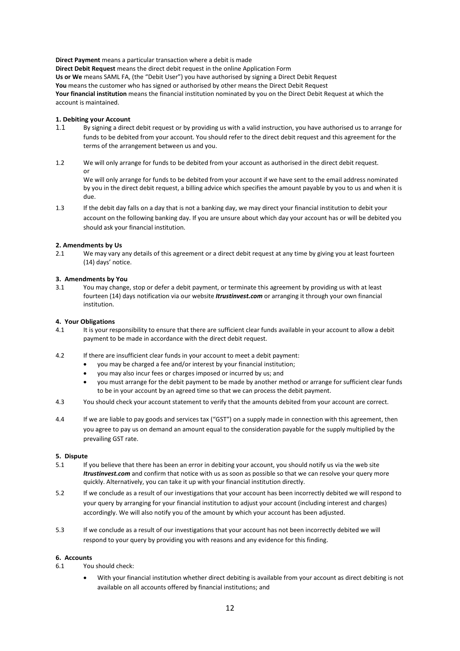**Direct Payment** means a particular transaction where a debit is made

**Direct Debit Request** means the direct debit request in the online Application Form **Us or We** means SAML FA, (the "Debit User") you have authorised by signing a Direct Debit Request **You** means the customer who has signed or authorised by other means the Direct Debit Request **Your financial institution** means the financial institution nominated by you on the Direct Debit Request at which the account is maintained.

#### **1. Debiting your Account**

- 1.1 By signing a direct debit request or by providing us with a valid instruction, you have authorised us to arrange for funds to be debited from your account. You should refer to the direct debit request and this agreement for the terms of the arrangement between us and you.
- 1.2 We will only arrange for funds to be debited from your account as authorised in the direct debit request. or

We will only arrange for funds to be debited from your account if we have sent to the email address nominated by you in the direct debit request, a billing advice which specifies the amount payable by you to us and when it is due.

1.3 If the debit day falls on a day that is not a banking day, we may direct your financial institution to debit your account on the following banking day. If you are unsure about which day your account has or will be debited you should ask your financial institution.

#### **2. Amendments by Us**

2.1 We may vary any details of this agreement or a direct debit request at any time by giving you at least fourteen (14) days' notice.

#### **3. Amendments by You**

3.1 You may change, stop or defer a debit payment, or terminate this agreement by providing us with at least fourteen (14) days notification via our website *Itrustinvest.com* or arranging it through your own financial institution.

#### **4. Your Obligations**

- 4.1 It is your responsibility to ensure that there are sufficient clear funds available in your account to allow a debit payment to be made in accordance with the direct debit request.
- 4.2 If there are insufficient clear funds in your account to meet a debit payment:
	- you may be charged a fee and/or interest by your financial institution;
	- you may also incur fees or charges imposed or incurred by us; and
	- you must arrange for the debit payment to be made by another method or arrange for sufficient clear funds to be in your account by an agreed time so that we can process the debit payment.
- 4.3 You should check your account statement to verify that the amounts debited from your account are correct.
- 4.4 If we are liable to pay goods and services tax ("GST") on a supply made in connection with this agreement, then you agree to pay us on demand an amount equal to the consideration payable for the supply multiplied by the prevailing GST rate.

#### **5. Dispute**

- 5.1 If you believe that there has been an error in debiting your account, you should notify us via the web site *Itrustinvest.com* and confirm that notice with us as soon as possible so that we can resolve your query more quickly. Alternatively, you can take it up with your financial institution directly.
- 5.2 If we conclude as a result of our investigations that your account has been incorrectly debited we will respond to your query by arranging for your financial institution to adjust your account (including interest and charges) accordingly. We will also notify you of the amount by which your account has been adjusted.
- 5.3 If we conclude as a result of our investigations that your account has not been incorrectly debited we will respond to your query by providing you with reasons and any evidence for this finding.

#### **6. Accounts**

- 6.1 You should check:
	- With your financial institution whether direct debiting is available from your account as direct debiting is not available on all accounts offered by financial institutions; and